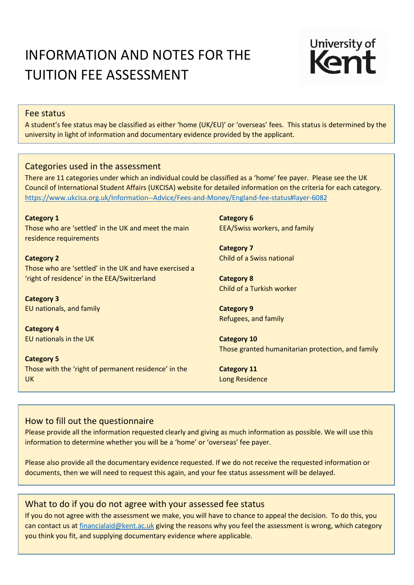# INFORMATION AND NOTES FOR THE TUITION FEE ASSESSMENT



#### Fee status

A student's fee status may be classified as either 'home (UK/EU)' or 'overseas' fees. This status is determined by the university in light of information and documentary evidence provided by the applicant.

### Categories used in the assessment

There are 11 categories under which an individual could be classified as a 'home' fee payer. Please see the UK Council of International Student Affairs (UKCISA) website for detailed information on the criteria for each category. <https://www.ukcisa.org.uk/Information--Advice/Fees-and-Money/England-fee-status#layer-6082>

**Category 1** Those who are 'settled' in the UK and meet the main residence requirements

**Category 2** Those who are 'settled' in the UK and have exercised a 'right of residence' in the EEA/Switzerland

**Category 3** EU nationals, and family

**Category 4** EU nationals in the UK

**Category 5** Those with the 'right of permanent residence' in the UK

**Category 6** EEA/Swiss workers, and family

**Category 7** Child of a Swiss national

**Category 8** Child of a Turkish worker

**Category 9** Refugees, and family

**Category 10** Those granted humanitarian protection, and family

**Category 11** Long Residence

## How to fill out the questionnaire

Please provide all the information requested clearly and giving as much information as possible. We will use this information to determine whether you will be a 'home' or 'overseas' fee payer.

Please also provide all the documentary evidence requested. If we do not receive the requested information or documents, then we will need to request this again, and your fee status assessment will be delayed.

### What to do if you do not agree with your assessed fee status

If you do not agree with the assessment we make, you will have to chance to appeal the decision. To do this, you can contact us at [financialaid@kent.ac.uk](mailto:financialaid@kent.ac.uk) giving the reasons why you feel the assessment is wrong, which category you think you fit, and supplying documentary evidence where applicable.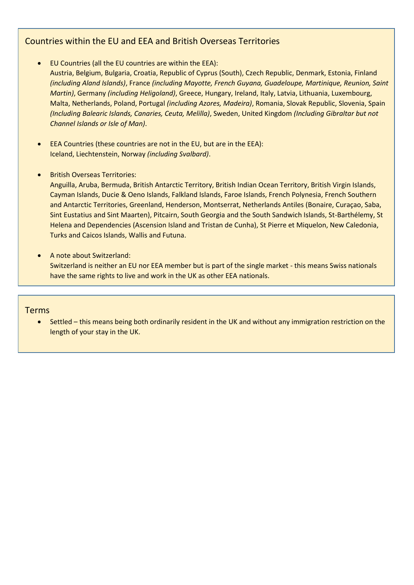## Countries within the EU and EEA and British Overseas Territories

- EU Countries (all the EU countries are within the EEA):
	- Austria, Belgium, Bulgaria, Croatia, Republic of Cyprus (South), Czech Republic, Denmark, Estonia, Finland *(including Aland Islands)*, France *(including Mayotte, French Guyana, Guadeloupe, Martinique, Reunion, Saint Martin)*, Germany *(including Heligoland)*, Greece, Hungary, Ireland, Italy, Latvia, Lithuania, Luxembourg, Malta, Netherlands, Poland, Portugal *(including Azores, Madeira)*, Romania, Slovak Republic, Slovenia, Spain *(Including Balearic Islands, Canaries, Ceuta, Melilla)*, Sweden, United Kingdom *(Including Gibraltar but not Channel Islands or Isle of Man)*.
- EEA Countries (these countries are not in the EU, but are in the EEA): Iceland, Liechtenstein, Norway *(including Svalbard)*.
- British Overseas Territories:

Anguilla, Aruba, Bermuda, British Antarctic Territory, British Indian Ocean Territory, British Virgin Islands, Cayman Islands, Ducie & Oeno Islands, Falkland Islands, Faroe Islands, French Polynesia, French Southern and Antarctic Territories, Greenland, Henderson, Montserrat, Netherlands Antiles (Bonaire, Curaçao, Saba, Sint Eustatius and Sint Maarten), Pitcairn, South Georgia and the South Sandwich Islands, St-Barthélemy, St Helena and Dependencies (Ascension Island and Tristan de Cunha), St Pierre et Miquelon, New Caledonia, Turks and Caicos Islands, Wallis and Futuna.

A note about Switzerland:

Switzerland is neither an EU nor EEA member but is part of the single market - this means Swiss nationals have the same rights to live and work in the UK as other EEA nationals.

### Terms

 Settled – this means being both ordinarily resident in the UK and without any immigration restriction on the length of your stay in the UK.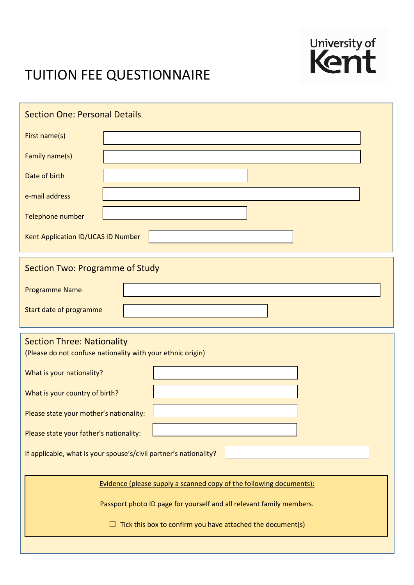

# TUITION FEE QUESTIONNAIRE

| <b>Section One: Personal Details</b>                                                             |  |  |  |
|--------------------------------------------------------------------------------------------------|--|--|--|
| First name(s)                                                                                    |  |  |  |
| Family name(s)                                                                                   |  |  |  |
| Date of birth                                                                                    |  |  |  |
| e-mail address                                                                                   |  |  |  |
| Telephone number                                                                                 |  |  |  |
| Kent Application ID/UCAS ID Number                                                               |  |  |  |
| <b>Section Two: Programme of Study</b>                                                           |  |  |  |
| <b>Programme Name</b>                                                                            |  |  |  |
| Start date of programme                                                                          |  |  |  |
| <b>Section Three: Nationality</b><br>(Please do not confuse nationality with your ethnic origin) |  |  |  |
| What is your nationality?                                                                        |  |  |  |
| What is your country of birth?                                                                   |  |  |  |
| Please state your mother's nationality:                                                          |  |  |  |
| Please state your father's nationality:                                                          |  |  |  |
| If applicable, what is your spouse's/civil partner's nationality?                                |  |  |  |
| Evidence (please supply a scanned copy of the following documents):                              |  |  |  |
| Passport photo ID page for yourself and all relevant family members.                             |  |  |  |
| Tick this box to confirm you have attached the document(s)                                       |  |  |  |
|                                                                                                  |  |  |  |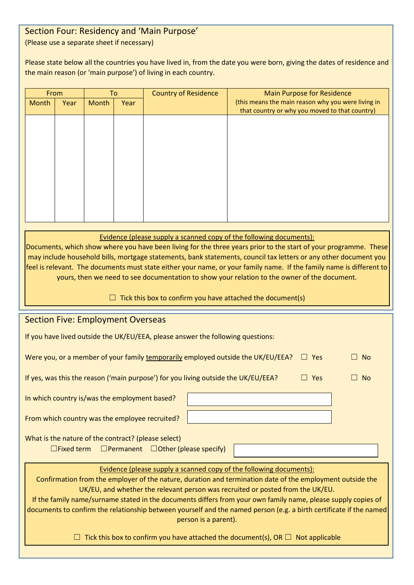### Section Four: Residency and 'Main Purpose' (Please use a separate sheet if necessary)

Please state below all the countries you have lived in, from the date you were born, giving the dates of residence and the main reason (or 'main purpose') of living in each country.

| From  |      | To    |      | <b>Country of Residence</b> | <b>Main Purpose for Residence</b>                                                                    |
|-------|------|-------|------|-----------------------------|------------------------------------------------------------------------------------------------------|
| Month | Year | Month | Year |                             | (this means the main reason why you were living in<br>that country or why you moved to that country) |
|       |      |       |      |                             |                                                                                                      |
|       |      |       |      |                             |                                                                                                      |
|       |      |       |      |                             |                                                                                                      |
|       |      |       |      |                             |                                                                                                      |
|       |      |       |      |                             |                                                                                                      |
|       |      |       |      |                             |                                                                                                      |
|       |      |       |      |                             |                                                                                                      |

Evidence (please supply a scanned copy of the following documents):

Documents, which show where you have been living for the three years prior to the start of your programme. These may include household bills, mortgage statements, bank statements, council tax letters or any other document you feel is relevant. The documents must state either your name, or your family name. If the family name is different to yours, then we need to see documentation to show your relation to the owner of the document.

 $\Box$  Tick this box to confirm you have attached the document(s)

| <b>Section Five: Employment Overseas</b>                                                                           |  |  |  |  |  |  |
|--------------------------------------------------------------------------------------------------------------------|--|--|--|--|--|--|
| If you have lived outside the UK/EU/EEA, please answer the following questions:                                    |  |  |  |  |  |  |
|                                                                                                                    |  |  |  |  |  |  |
| Were you, or a member of your family temporarily employed outside the UK/EU/EEA?<br>$\Box$ Yes<br><b>No</b>        |  |  |  |  |  |  |
| $\Box$ Yes<br><b>No</b>                                                                                            |  |  |  |  |  |  |
| If yes, was this the reason ('main purpose') for you living outside the UK/EU/EEA?                                 |  |  |  |  |  |  |
|                                                                                                                    |  |  |  |  |  |  |
| In which country is/was the employment based?                                                                      |  |  |  |  |  |  |
|                                                                                                                    |  |  |  |  |  |  |
| From which country was the employee recruited?                                                                     |  |  |  |  |  |  |
|                                                                                                                    |  |  |  |  |  |  |
| What is the nature of the contract? (please select)                                                                |  |  |  |  |  |  |
| $\Box$ Fixed term $\Box$ Permanent $\Box$ Other (please specify)                                                   |  |  |  |  |  |  |
|                                                                                                                    |  |  |  |  |  |  |
|                                                                                                                    |  |  |  |  |  |  |
| Evidence (please supply a scanned copy of the following documents):                                                |  |  |  |  |  |  |
| Confirmation from the employer of the nature, duration and termination date of the employment outside the          |  |  |  |  |  |  |
| UK/EU, and whether the relevant person was recruited or posted from the UK/EU.                                     |  |  |  |  |  |  |
| If the family name/surname stated in the documents differs from your own family name, please supply copies of      |  |  |  |  |  |  |
| documents to confirm the relationship between yourself and the named person (e.g. a birth certificate if the named |  |  |  |  |  |  |
| person is a parent).                                                                                               |  |  |  |  |  |  |
|                                                                                                                    |  |  |  |  |  |  |
| Tick this box to confirm you have attached the document(s), OR $\Box$ Not applicable                               |  |  |  |  |  |  |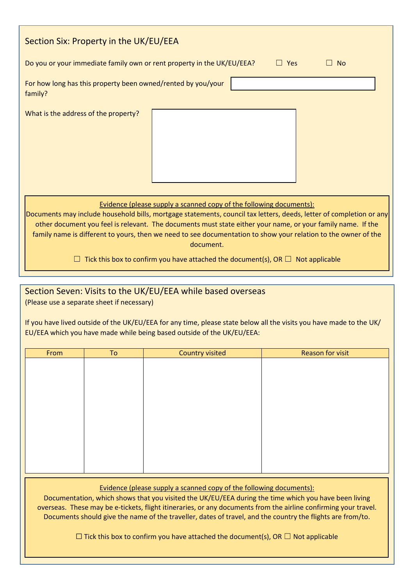| Section Six: Property in the UK/EU/EEA                                                                                                                                                                                                                                                                                                                                                                                                                                                                                           |  |  |  |  |  |
|----------------------------------------------------------------------------------------------------------------------------------------------------------------------------------------------------------------------------------------------------------------------------------------------------------------------------------------------------------------------------------------------------------------------------------------------------------------------------------------------------------------------------------|--|--|--|--|--|
| Do you or your immediate family own or rent property in the UK/EU/EEA?<br>Yes<br><b>No</b>                                                                                                                                                                                                                                                                                                                                                                                                                                       |  |  |  |  |  |
| For how long has this property been owned/rented by you/your<br>family?                                                                                                                                                                                                                                                                                                                                                                                                                                                          |  |  |  |  |  |
| What is the address of the property?                                                                                                                                                                                                                                                                                                                                                                                                                                                                                             |  |  |  |  |  |
| Evidence (please supply a scanned copy of the following documents):<br>Documents may include household bills, mortgage statements, council tax letters, deeds, letter of completion or any<br>other document you feel is relevant. The documents must state either your name, or your family name. If the<br>family name is different to yours, then we need to see documentation to show your relation to the owner of the<br>document.<br>Tick this box to confirm you have attached the document(s), OR $\Box$ Not applicable |  |  |  |  |  |

## Section Seven: Visits to the UK/EU/EEA while based overseas (Please use a separate sheet if necessary)

If you have lived outside of the UK/EU/EEA for any time, please state below all the visits you have made to the UK/ EU/EEA which you have made while being based outside of the UK/EU/EEA:

| From | To | <b>Country visited</b> | <b>Reason for visit</b> |
|------|----|------------------------|-------------------------|
|      |    |                        |                         |
|      |    |                        |                         |
|      |    |                        |                         |
|      |    |                        |                         |
|      |    |                        |                         |
|      |    |                        |                         |
|      |    |                        |                         |
|      |    |                        |                         |
|      |    |                        |                         |
|      |    |                        |                         |
|      |    |                        |                         |

Evidence (please supply a scanned copy of the following documents):

Documentation, which shows that you visited the UK/EU/EEA during the time which you have been living overseas. These may be e-tickets, flight itineraries, or any documents from the airline confirming your travel. Documents should give the name of the traveller, dates of travel, and the country the flights are from/to.

 $\Box$  Tick this box to confirm you have attached the document(s), OR  $\Box$  Not applicable